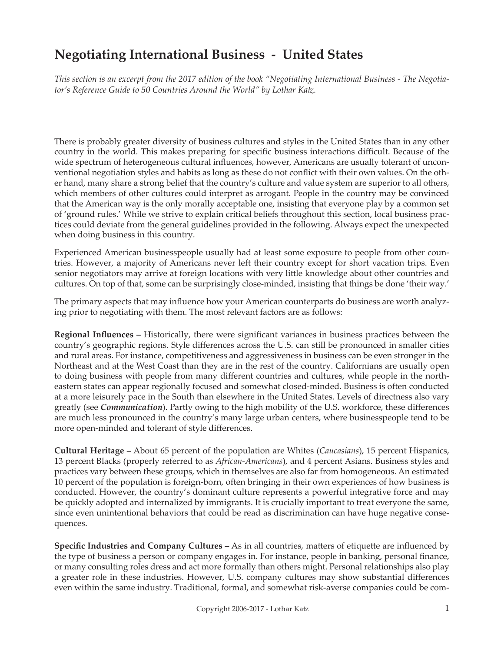# **Negotiating International Business - United States**

*This section is an excerpt from the 2017 edition of the book "Negotiating International Business - The Negotiator's Reference Guide to 50 Countries Around the World" by Lothar Katz.*

There is probably greater diversity of business cultures and styles in the United States than in any other country in the world. This makes preparing for specific business interactions difficult. Because of the wide spectrum of heterogeneous cultural influences, however, Americans are usually tolerant of unconventional negotiation styles and habits as long as these do not conflict with their own values. On the other hand, many share a strong belief that the country's culture and value system are superior to all others, which members of other cultures could interpret as arrogant. People in the country may be convinced that the American way is the only morally acceptable one, insisting that everyone play by a common set of 'ground rules.' While we strive to explain critical beliefs throughout this section, local business practices could deviate from the general guidelines provided in the following. Always expect the unexpected when doing business in this country.

Experienced American businesspeople usually had at least some exposure to people from other countries. However, a majority of Americans never left their country except for short vacation trips. Even senior negotiators may arrive at foreign locations with very little knowledge about other countries and cultures. On top of that, some can be surprisingly close-minded, insisting that things be done 'their way.'

The primary aspects that may influence how your American counterparts do business are worth analyzing prior to negotiating with them. The most relevant factors are as follows:

**Regional Influences –** Historically, there were significant variances in business practices between the country's geographic regions. Style differences across the U.S. can still be pronounced in smaller cities and rural areas. For instance, competitiveness and aggressiveness in business can be even stronger in the Northeast and at the West Coast than they are in the rest of the country. Californians are usually open to doing business with people from many different countries and cultures, while people in the northeastern states can appear regionally focused and somewhat closed-minded. Business is often conducted at a more leisurely pace in the South than elsewhere in the United States. Levels of directness also vary greatly (see *Communication*). Partly owing to the high mobility of the U.S. workforce, these differences are much less pronounced in the country's many large urban centers, where businesspeople tend to be more open-minded and tolerant of style differences.

**Cultural Heritage –** About 65 percent of the population are Whites (*Caucasians*), 15 percent Hispanics, 13 percent Blacks (properly referred to as *African-Americans*), and 4 percent Asians. Business styles and practices vary between these groups, which in themselves are also far from homogeneous. An estimated 10 percent of the population is foreign-born, often bringing in their own experiences of how business is conducted. However, the country's dominant culture represents a powerful integrative force and may be quickly adopted and internalized by immigrants. It is crucially important to treat everyone the same, since even unintentional behaviors that could be read as discrimination can have huge negative consequences.

**Specific Industries and Company Cultures –** As in all countries, matters of etiquette are influenced by the type of business a person or company engages in. For instance, people in banking, personal finance, or many consulting roles dress and act more formally than others might. Personal relationships also play a greater role in these industries. However, U.S. company cultures may show substantial differences even within the same industry. Traditional, formal, and somewhat risk-averse companies could be com-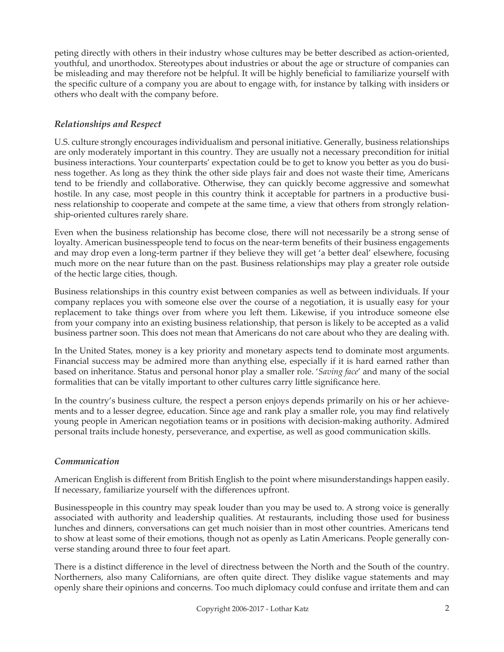peting directly with others in their industry whose cultures may be better described as action-oriented, youthful, and unorthodox. Stereotypes about industries or about the age or structure of companies can be misleading and may therefore not be helpful. It will be highly beneficial to familiarize yourself with the specific culture of a company you are about to engage with, for instance by talking with insiders or others who dealt with the company before.

## *Relationships and Respect*

U.S. culture strongly encourages individualism and personal initiative. Generally, business relationships are only moderately important in this country. They are usually not a necessary precondition for initial business interactions. Your counterparts' expectation could be to get to know you better as you do business together. As long as they think the other side plays fair and does not waste their time, Americans tend to be friendly and collaborative. Otherwise, they can quickly become aggressive and somewhat hostile. In any case, most people in this country think it acceptable for partners in a productive business relationship to cooperate and compete at the same time, a view that others from strongly relationship-oriented cultures rarely share.

Even when the business relationship has become close, there will not necessarily be a strong sense of loyalty. American businesspeople tend to focus on the near-term benefits of their business engagements and may drop even a long-term partner if they believe they will get 'a better deal' elsewhere, focusing much more on the near future than on the past. Business relationships may play a greater role outside of the hectic large cities, though.

Business relationships in this country exist between companies as well as between individuals. If your company replaces you with someone else over the course of a negotiation, it is usually easy for your replacement to take things over from where you left them. Likewise, if you introduce someone else from your company into an existing business relationship, that person is likely to be accepted as a valid business partner soon. This does not mean that Americans do not care about who they are dealing with.

In the United States, money is a key priority and monetary aspects tend to dominate most arguments. Financial success may be admired more than anything else, especially if it is hard earned rather than based on inheritance. Status and personal honor play a smaller role. '*Saving face*' and many of the social formalities that can be vitally important to other cultures carry little significance here.

In the country's business culture, the respect a person enjoys depends primarily on his or her achievements and to a lesser degree, education. Since age and rank play a smaller role, you may find relatively young people in American negotiation teams or in positions with decision-making authority. Admired personal traits include honesty, perseverance, and expertise, as well as good communication skills.

# *Communication*

American English is different from British English to the point where misunderstandings happen easily. If necessary, familiarize yourself with the differences upfront.

Businesspeople in this country may speak louder than you may be used to. A strong voice is generally associated with authority and leadership qualities. At restaurants, including those used for business lunches and dinners, conversations can get much noisier than in most other countries. Americans tend to show at least some of their emotions, though not as openly as Latin Americans. People generally converse standing around three to four feet apart.

There is a distinct difference in the level of directness between the North and the South of the country. Northerners, also many Californians, are often quite direct. They dislike vague statements and may openly share their opinions and concerns. Too much diplomacy could confuse and irritate them and can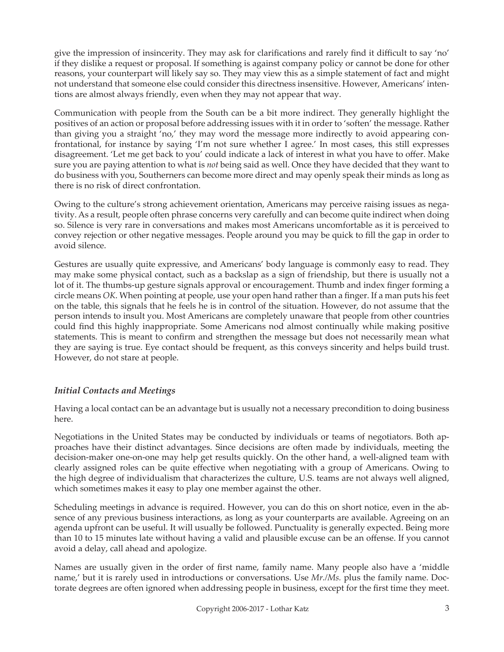give the impression of insincerity. They may ask for clarifications and rarely find it difficult to say 'no' if they dislike a request or proposal. If something is against company policy or cannot be done for other reasons, your counterpart will likely say so. They may view this as a simple statement of fact and might not understand that someone else could consider this directness insensitive. However, Americans' intentions are almost always friendly, even when they may not appear that way.

Communication with people from the South can be a bit more indirect. They generally highlight the positives of an action or proposal before addressing issues with it in order to 'soften' the message. Rather than giving you a straight 'no,' they may word the message more indirectly to avoid appearing confrontational, for instance by saying 'I'm not sure whether I agree.' In most cases, this still expresses disagreement. 'Let me get back to you' could indicate a lack of interest in what you have to offer. Make sure you are paying attention to what is *not* being said as well. Once they have decided that they want to do business with you, Southerners can become more direct and may openly speak their minds as long as there is no risk of direct confrontation.

Owing to the culture's strong achievement orientation, Americans may perceive raising issues as negativity. As a result, people often phrase concerns very carefully and can become quite indirect when doing so. Silence is very rare in conversations and makes most Americans uncomfortable as it is perceived to convey rejection or other negative messages. People around you may be quick to fill the gap in order to avoid silence.

Gestures are usually quite expressive, and Americans' body language is commonly easy to read. They may make some physical contact, such as a backslap as a sign of friendship, but there is usually not a lot of it. The thumbs-up gesture signals approval or encouragement. Thumb and index finger forming a circle means *OK*. When pointing at people, use your open hand rather than a finger. If a man puts his feet on the table, this signals that he feels he is in control of the situation. However, do not assume that the person intends to insult you. Most Americans are completely unaware that people from other countries could find this highly inappropriate. Some Americans nod almost continually while making positive statements. This is meant to confirm and strengthen the message but does not necessarily mean what they are saying is true. Eye contact should be frequent, as this conveys sincerity and helps build trust. However, do not stare at people.

### *Initial Contacts and Meetings*

Having a local contact can be an advantage but is usually not a necessary precondition to doing business here.

Negotiations in the United States may be conducted by individuals or teams of negotiators. Both approaches have their distinct advantages. Since decisions are often made by individuals, meeting the decision-maker one-on-one may help get results quickly. On the other hand, a well-aligned team with clearly assigned roles can be quite effective when negotiating with a group of Americans. Owing to the high degree of individualism that characterizes the culture, U.S. teams are not always well aligned, which sometimes makes it easy to play one member against the other.

Scheduling meetings in advance is required. However, you can do this on short notice, even in the absence of any previous business interactions, as long as your counterparts are available. Agreeing on an agenda upfront can be useful. It will usually be followed. Punctuality is generally expected. Being more than 10 to 15 minutes late without having a valid and plausible excuse can be an offense. If you cannot avoid a delay, call ahead and apologize.

Names are usually given in the order of first name, family name. Many people also have a 'middle name,' but it is rarely used in introductions or conversations. Use *Mr./Ms.* plus the family name. Doctorate degrees are often ignored when addressing people in business, except for the first time they meet.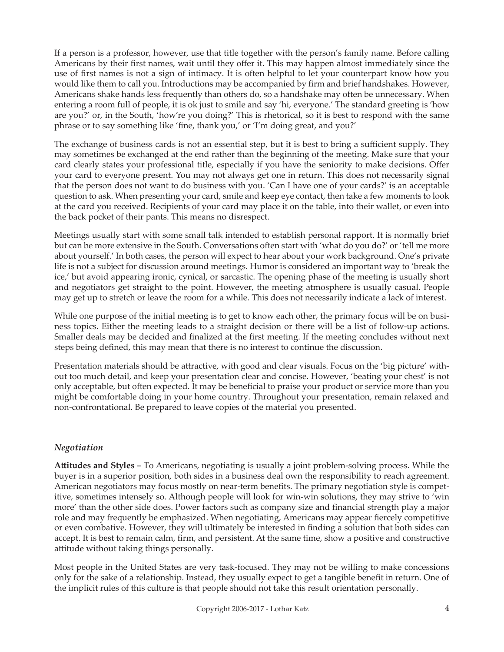If a person is a professor, however, use that title together with the person's family name. Before calling Americans by their first names, wait until they offer it. This may happen almost immediately since the use of first names is not a sign of intimacy. It is often helpful to let your counterpart know how you would like them to call you. Introductions may be accompanied by firm and brief handshakes. However, Americans shake hands less frequently than others do, so a handshake may often be unnecessary. When entering a room full of people, it is ok just to smile and say 'hi, everyone.' The standard greeting is 'how are you?' or, in the South, 'how're you doing?' This is rhetorical, so it is best to respond with the same phrase or to say something like 'fine, thank you,' or 'I'm doing great, and you?'

The exchange of business cards is not an essential step, but it is best to bring a sufficient supply. They may sometimes be exchanged at the end rather than the beginning of the meeting. Make sure that your card clearly states your professional title, especially if you have the seniority to make decisions. Offer your card to everyone present. You may not always get one in return. This does not necessarily signal that the person does not want to do business with you. 'Can I have one of your cards?' is an acceptable question to ask. When presenting your card, smile and keep eye contact, then take a few moments to look at the card you received. Recipients of your card may place it on the table, into their wallet, or even into the back pocket of their pants. This means no disrespect.

Meetings usually start with some small talk intended to establish personal rapport. It is normally brief but can be more extensive in the South. Conversations often start with 'what do you do?' or 'tell me more about yourself.' In both cases, the person will expect to hear about your work background. One's private life is not a subject for discussion around meetings. Humor is considered an important way to 'break the ice,' but avoid appearing ironic, cynical, or sarcastic. The opening phase of the meeting is usually short and negotiators get straight to the point. However, the meeting atmosphere is usually casual. People may get up to stretch or leave the room for a while. This does not necessarily indicate a lack of interest.

While one purpose of the initial meeting is to get to know each other, the primary focus will be on business topics. Either the meeting leads to a straight decision or there will be a list of follow-up actions. Smaller deals may be decided and finalized at the first meeting. If the meeting concludes without next steps being defined, this may mean that there is no interest to continue the discussion.

Presentation materials should be attractive, with good and clear visuals. Focus on the 'big picture' without too much detail, and keep your presentation clear and concise. However, 'beating your chest' is not only acceptable, but often expected. It may be beneficial to praise your product or service more than you might be comfortable doing in your home country. Throughout your presentation, remain relaxed and non-confrontational. Be prepared to leave copies of the material you presented.

# *Negotiation*

**Attitudes and Styles –** To Americans, negotiating is usually a joint problem-solving process. While the buyer is in a superior position, both sides in a business deal own the responsibility to reach agreement. American negotiators may focus mostly on near-term benefits. The primary negotiation style is competitive, sometimes intensely so. Although people will look for win-win solutions, they may strive to 'win more' than the other side does. Power factors such as company size and financial strength play a major role and may frequently be emphasized. When negotiating, Americans may appear fiercely competitive or even combative. However, they will ultimately be interested in finding a solution that both sides can accept. It is best to remain calm, firm, and persistent. At the same time, show a positive and constructive attitude without taking things personally.

Most people in the United States are very task-focused. They may not be willing to make concessions only for the sake of a relationship. Instead, they usually expect to get a tangible benefit in return. One of the implicit rules of this culture is that people should not take this result orientation personally.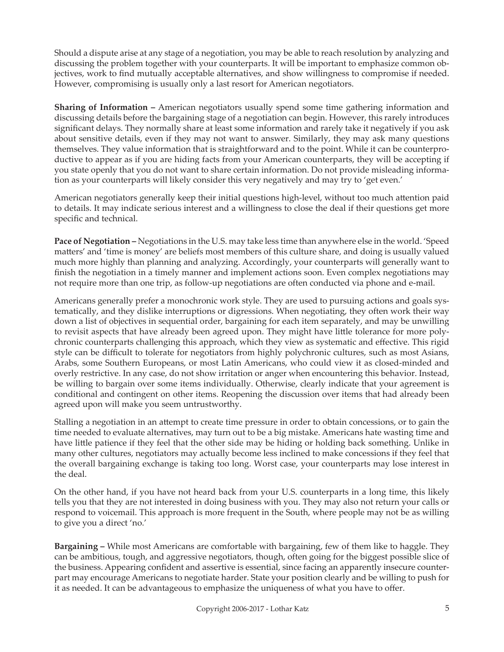Should a dispute arise at any stage of a negotiation, you may be able to reach resolution by analyzing and discussing the problem together with your counterparts. It will be important to emphasize common objectives, work to find mutually acceptable alternatives, and show willingness to compromise if needed. However, compromising is usually only a last resort for American negotiators.

**Sharing of Information –** American negotiators usually spend some time gathering information and discussing details before the bargaining stage of a negotiation can begin. However, this rarely introduces significant delays. They normally share at least some information and rarely take it negatively if you ask about sensitive details, even if they may not want to answer. Similarly, they may ask many questions themselves. They value information that is straightforward and to the point. While it can be counterproductive to appear as if you are hiding facts from your American counterparts, they will be accepting if you state openly that you do not want to share certain information. Do not provide misleading information as your counterparts will likely consider this very negatively and may try to 'get even.'

American negotiators generally keep their initial questions high-level, without too much attention paid to details. It may indicate serious interest and a willingness to close the deal if their questions get more specific and technical.

**Pace of Negotiation –** Negotiations in the U.S. may take less time than anywhere else in the world. 'Speed matters' and 'time is money' are beliefs most members of this culture share, and doing is usually valued much more highly than planning and analyzing. Accordingly, your counterparts will generally want to finish the negotiation in a timely manner and implement actions soon. Even complex negotiations may not require more than one trip, as follow-up negotiations are often conducted via phone and e-mail.

Americans generally prefer a monochronic work style. They are used to pursuing actions and goals systematically, and they dislike interruptions or digressions. When negotiating, they often work their way down a list of objectives in sequential order, bargaining for each item separately, and may be unwilling to revisit aspects that have already been agreed upon. They might have little tolerance for more polychronic counterparts challenging this approach, which they view as systematic and effective. This rigid style can be difficult to tolerate for negotiators from highly polychronic cultures, such as most Asians, Arabs, some Southern Europeans, or most Latin Americans, who could view it as closed-minded and overly restrictive. In any case, do not show irritation or anger when encountering this behavior. Instead, be willing to bargain over some items individually. Otherwise, clearly indicate that your agreement is conditional and contingent on other items. Reopening the discussion over items that had already been agreed upon will make you seem untrustworthy.

Stalling a negotiation in an attempt to create time pressure in order to obtain concessions, or to gain the time needed to evaluate alternatives, may turn out to be a big mistake. Americans hate wasting time and have little patience if they feel that the other side may be hiding or holding back something. Unlike in many other cultures, negotiators may actually become less inclined to make concessions if they feel that the overall bargaining exchange is taking too long. Worst case, your counterparts may lose interest in the deal.

On the other hand, if you have not heard back from your U.S. counterparts in a long time, this likely tells you that they are not interested in doing business with you. They may also not return your calls or respond to voicemail. This approach is more frequent in the South, where people may not be as willing to give you a direct 'no.'

**Bargaining –** While most Americans are comfortable with bargaining, few of them like to haggle. They can be ambitious, tough, and aggressive negotiators, though, often going for the biggest possible slice of the business. Appearing confident and assertive is essential, since facing an apparently insecure counterpart may encourage Americans to negotiate harder. State your position clearly and be willing to push for it as needed. It can be advantageous to emphasize the uniqueness of what you have to offer.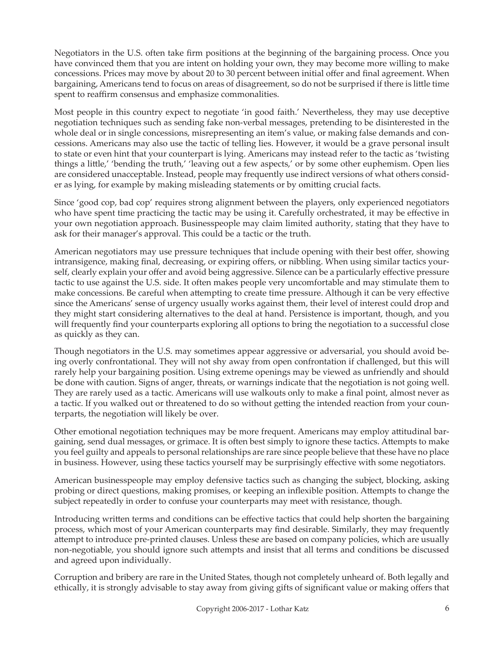Negotiators in the U.S. often take firm positions at the beginning of the bargaining process. Once you have convinced them that you are intent on holding your own, they may become more willing to make concessions. Prices may move by about 20 to 30 percent between initial offer and final agreement. When bargaining, Americans tend to focus on areas of disagreement, so do not be surprised if there is little time spent to reaffirm consensus and emphasize commonalities.

Most people in this country expect to negotiate 'in good faith.' Nevertheless, they may use deceptive negotiation techniques such as sending fake non-verbal messages, pretending to be disinterested in the whole deal or in single concessions, misrepresenting an item's value, or making false demands and concessions. Americans may also use the tactic of telling lies. However, it would be a grave personal insult to state or even hint that your counterpart is lying. Americans may instead refer to the tactic as 'twisting things a little,' 'bending the truth,' 'leaving out a few aspects,' or by some other euphemism. Open lies are considered unacceptable. Instead, people may frequently use indirect versions of what others consider as lying, for example by making misleading statements or by omitting crucial facts.

Since 'good cop, bad cop' requires strong alignment between the players, only experienced negotiators who have spent time practicing the tactic may be using it. Carefully orchestrated, it may be effective in your own negotiation approach. Businesspeople may claim limited authority, stating that they have to ask for their manager's approval. This could be a tactic or the truth.

American negotiators may use pressure techniques that include opening with their best offer, showing intransigence, making final, decreasing, or expiring offers, or nibbling. When using similar tactics yourself, clearly explain your offer and avoid being aggressive. Silence can be a particularly effective pressure tactic to use against the U.S. side. It often makes people very uncomfortable and may stimulate them to make concessions. Be careful when attempting to create time pressure. Although it can be very effective since the Americans' sense of urgency usually works against them, their level of interest could drop and they might start considering alternatives to the deal at hand. Persistence is important, though, and you will frequently find your counterparts exploring all options to bring the negotiation to a successful close as quickly as they can.

Though negotiators in the U.S. may sometimes appear aggressive or adversarial, you should avoid being overly confrontational. They will not shy away from open confrontation if challenged, but this will rarely help your bargaining position. Using extreme openings may be viewed as unfriendly and should be done with caution. Signs of anger, threats, or warnings indicate that the negotiation is not going well. They are rarely used as a tactic. Americans will use walkouts only to make a final point, almost never as a tactic. If you walked out or threatened to do so without getting the intended reaction from your counterparts, the negotiation will likely be over.

Other emotional negotiation techniques may be more frequent. Americans may employ attitudinal bargaining, send dual messages, or grimace. It is often best simply to ignore these tactics. Attempts to make you feel guilty and appeals to personal relationships are rare since people believe that these have no place in business. However, using these tactics yourself may be surprisingly effective with some negotiators.

American businesspeople may employ defensive tactics such as changing the subject, blocking, asking probing or direct questions, making promises, or keeping an inflexible position. Attempts to change the subject repeatedly in order to confuse your counterparts may meet with resistance, though.

Introducing written terms and conditions can be effective tactics that could help shorten the bargaining process, which most of your American counterparts may find desirable. Similarly, they may frequently attempt to introduce pre-printed clauses. Unless these are based on company policies, which are usually non-negotiable, you should ignore such attempts and insist that all terms and conditions be discussed and agreed upon individually.

Corruption and bribery are rare in the United States, though not completely unheard of. Both legally and ethically, it is strongly advisable to stay away from giving gifts of significant value or making offers that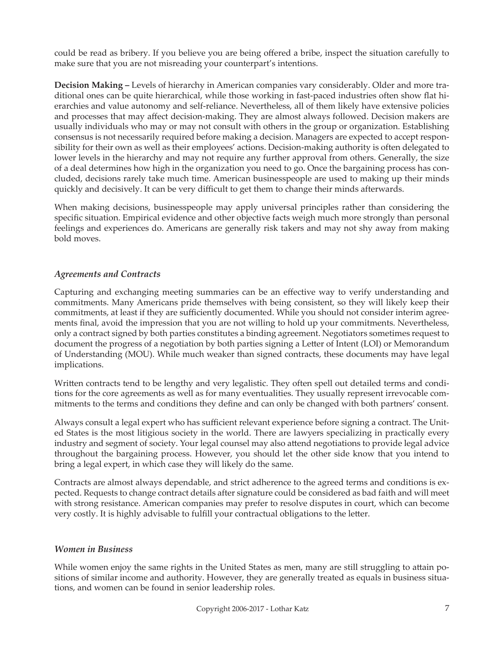could be read as bribery. If you believe you are being offered a bribe, inspect the situation carefully to make sure that you are not misreading your counterpart's intentions.

**Decision Making –** Levels of hierarchy in American companies vary considerably. Older and more traditional ones can be quite hierarchical, while those working in fast-paced industries often show flat hierarchies and value autonomy and self-reliance. Nevertheless, all of them likely have extensive policies and processes that may affect decision-making. They are almost always followed. Decision makers are usually individuals who may or may not consult with others in the group or organization. Establishing consensus is not necessarily required before making a decision. Managers are expected to accept responsibility for their own as well as their employees' actions. Decision-making authority is often delegated to lower levels in the hierarchy and may not require any further approval from others. Generally, the size of a deal determines how high in the organization you need to go. Once the bargaining process has concluded, decisions rarely take much time. American businesspeople are used to making up their minds quickly and decisively. It can be very difficult to get them to change their minds afterwards.

When making decisions, businesspeople may apply universal principles rather than considering the specific situation. Empirical evidence and other objective facts weigh much more strongly than personal feelings and experiences do. Americans are generally risk takers and may not shy away from making bold moves.

## *Agreements and Contracts*

Capturing and exchanging meeting summaries can be an effective way to verify understanding and commitments. Many Americans pride themselves with being consistent, so they will likely keep their commitments, at least if they are sufficiently documented. While you should not consider interim agreements final, avoid the impression that you are not willing to hold up your commitments. Nevertheless, only a contract signed by both parties constitutes a binding agreement. Negotiators sometimes request to document the progress of a negotiation by both parties signing a Letter of Intent (LOI) or Memorandum of Understanding (MOU). While much weaker than signed contracts, these documents may have legal implications.

Written contracts tend to be lengthy and very legalistic. They often spell out detailed terms and conditions for the core agreements as well as for many eventualities. They usually represent irrevocable commitments to the terms and conditions they define and can only be changed with both partners' consent.

Always consult a legal expert who has sufficient relevant experience before signing a contract. The United States is the most litigious society in the world. There are lawyers specializing in practically every industry and segment of society. Your legal counsel may also attend negotiations to provide legal advice throughout the bargaining process. However, you should let the other side know that you intend to bring a legal expert, in which case they will likely do the same.

Contracts are almost always dependable, and strict adherence to the agreed terms and conditions is expected. Requests to change contract details after signature could be considered as bad faith and will meet with strong resistance. American companies may prefer to resolve disputes in court, which can become very costly. It is highly advisable to fulfill your contractual obligations to the letter.

### *Women in Business*

While women enjoy the same rights in the United States as men, many are still struggling to attain positions of similar income and authority. However, they are generally treated as equals in business situations, and women can be found in senior leadership roles.